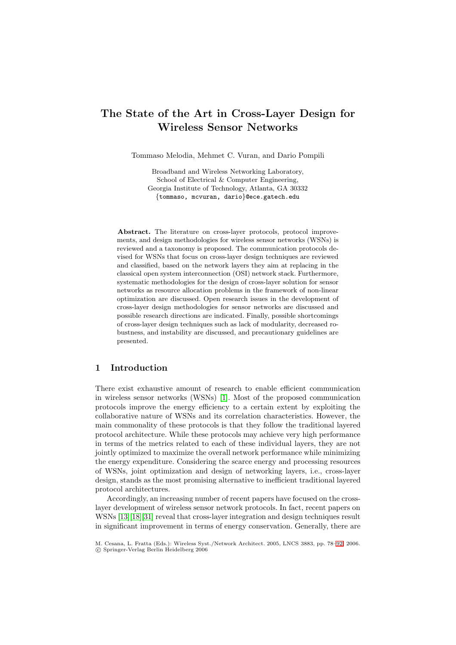# **The State of the Art in Cross-Layer Design for Wireless Sensor Networks**

Tommaso Melodia, Mehmet C. Vuran, and Dario Pompili

Broadband and Wireless Networking Laboratory, School of Electrical & Computer Engineering, Georgia Institute of Technology, Atlanta, GA 30332 {tommaso, mcvuran, dario}@ece.gatech.edu

**Abstract.** The literature on cross-layer protocols, protocol improvements, and design methodologies for wireless sensor networks (WSNs) is reviewed and a taxonomy is proposed. The communication protocols devised for WSNs that focus on cross-layer design techniques are reviewed and classified, based on the network layers they aim at replacing in the classical open system interconnection (OSI) network stack. Furthermore, systematic methodologies for the design of cross-layer solution for sensor networks as resource allocation problems in the framework of non-linear optimization are discussed. Open research issues in the development of cross-layer design methodologies for sensor networks are discussed and possible research directions are indicated. Finally, possible shortcomings of cross-layer design techniques such as lack of modularity, decreased robustness, and instability are discussed, and precautionary guidelines are presented.

## **1 Introduction**

There exist exhaustive amount of research to enable efficient communication in wireless sensor networks (WSNs) [1]. Most of the proposed communication protocols improve the energy efficiency to a certain extent by exploiting the collaborative nature of WSNs and its correlation characteristics. However, the main commonality of these protocols is that they follow the traditional layered protocol architecture. While these pr[oto](#page-12-0)cols may achieve very high performance in terms of the metrics related to each of these individual layers, they are not jointly optimized to maximize the overall network performance while minimizing the energy expenditure. Considering the scarce energy and processing resources of WSNs, joint optimization and design of networking layers, i.e., cross-layer design, stands as the most promising alternative to inefficient traditional layered protocol architectures.

Accordingly, an increasing number of recent papers have focused on the crosslayer development of wireless sensor network protocols. In fact, recent papers on WSNs [13][18][31] reveal that cross-layer integration and design techniques result in significant improvement in terms of energy conservation. Generally, there are

M. Cesana, L. Fratta (Eds.): Wireless Syst./Network Architect. 2005, LNCS 3883, pp. 78–92, 2006. -c Sprin[ger-](#page-13-0)[Verla](#page-13-1)[g](#page-14-0) [Be](#page-14-0)rlin Heidelberg 2006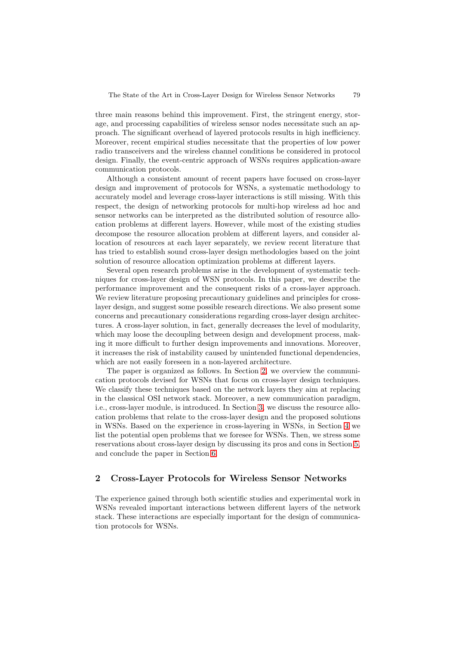three main reasons behind this improvement. First, the stringent energy, storage, and processing capabilities of wireless sensor nodes necessitate such an approach. The significant overhead of layered protocols results in high inefficiency. Moreover, recent empirical studies necessitate that the properties of low power radio transceivers and the wireless channel conditions be considered in protocol design. Finally, the event-centric approach of WSNs requires application-aware communication protocols.

Although a consistent amount of recent papers have focused on cross-layer design and improvement of protocols for WSNs, a systematic methodology to accurately model and leverage cross-layer interactions is still missing. With this respect, the design of networking protocols for multi-hop wireless ad hoc and sensor networks can be interpreted as the distributed solution of resource allocation problems at different layers. However, while most of the existing studies decompose the resource allocation problem at different layers, and consider allocation of resources at each layer separately, we review recent literature that has tried to establish sound cross-layer design methodologies based on the joint solution of resource allocation optimization problems at different layers.

Several open research problems arise in the development of systematic techniques for cross-layer design of WSN protocols. In this paper, we describe the performance improvement and the consequent risks of a cross-layer approach. We review literature proposing precautionary guidelines and principles for crosslayer design, and suggest some possible research directions. We also present some concerns and precautionary considerations regarding cross-layer design architectures. A cross-layer solution, in fact, generally decreases the level of modularity, which may loose the decoupling between design and development process, making it more difficult to further design improvements and innovations. Moreover, it increases the risk of instability caused by unintended functional dependencies, which are not easily foreseen in a non-layered architecture.

The paper is organized as follows. In Section 2, we overview the communication protocols devised for WSNs that focus on cross-layer design techniques. We classify these techniques based on the network layers they aim at replacing in the classical OSI network stack. Moreover, a new communication paradigm, i.e., cross-layer module, is introduced. In Section [3,](#page-1-0) we discuss the resource allocation problems that relate to the cross-layer design and the proposed solutions in WSNs. Based on the experience in cross-layering in WSNs, in Section 4 we list the potential open problems that we foresee for WSNs. Then, we stress some reservations about cross-layer design by discussin[g i](#page-6-0)ts pros and cons in Section 5, and conclude the paper in Section 6.

# **2 Cross-Layer Protocols for Wireless Sensor Networks**

<span id="page-1-0"></span>The experience gained through both scientific studies and experimental work in WSNs revealed important interactions between different layers of the network stack. These interactions are especially important for the design of communication protocols for WSNs.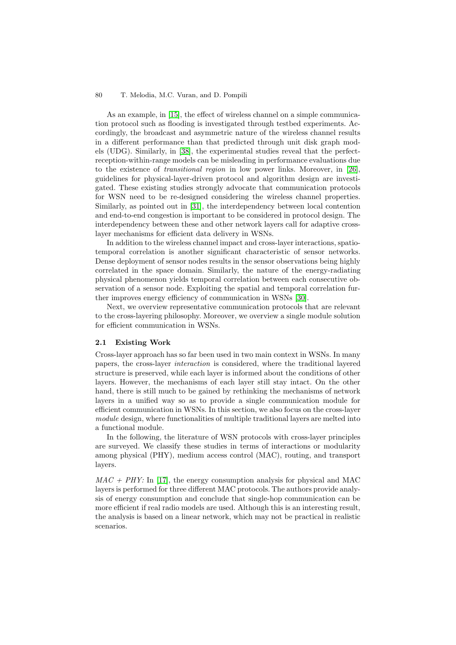As an example, in [15], the effect of wireless channel on a simple communication protocol such as flooding is investigated through testbed experiments. Accordingly, the broadcast and asymmetric nature of the wireless channel results in a different performance than that predicted through unit disk graph models (UDG). Similarly, [in](#page-13-2) [38], the experimental studies reveal that the perfectreception-within-range models can be misleading in performance evaluations due to the existence of *transitional region* in low power links. Moreover, in  $[26]$ , guidelines for physical-layer-driven protocol and algorithm design are investigated. These existing stu[die](#page-14-1)s strongly advocate that communication protocols for WSN need to be re-designed considering the wireless channel properties. Similarly, as pointed out in [31], the interdependency between local conten[tion](#page-14-2) and end-to-end congestion is important to be considered in protocol design. The interdependency between these and other network layers call for adaptive crosslayer mechanisms for efficient data delivery in WSNs.

In addition to the wireless [cha](#page-14-0)nnel impact and cross-layer interactions, spatiotemporal correlation is another significant characteristic of sensor networks. Dense deployment of sensor nodes results in the sensor observations being highly correlated in the space domain. Similarly, the nature of the energy-radiating physical phenomenon yields temporal correlation between each consecutive observation of a sensor node. Exploiting the spatial and temporal correlation further improves energy efficiency of communication in WSNs [30].

Next, we overview representative communication protocols that are relevant to the cross-layering philosophy. Moreover, we overview a single module solution for efficient communication in WSNs.

#### **2.1 Existing Work**

Cross-layer approach has so far been used in two main context in WSNs. In many papers, the cross-layer interaction is considered, where the traditional layered structure is preserved, while each layer is informed about the conditions of other layers. However, the mechanisms of each layer still stay intact. On the other hand, there is still much to be gained by rethinking the mechanisms of network layers in a unified way so as to provide a single communication module for efficient communication in WSNs. In this section, we also focus on the cross-layer module design, where functionalities of multiple traditional layers are melted into a functional module.

In the following, the literature of WSN protocols with cross-layer principles are surveyed. We classify these studies in terms of interactions or modularity among physical (PHY), medium access control (MAC), routing, and transport layers.

 $MAC + PHY$ : In [17], the energy consumption analysis for physical and MAC layers is performed for three different MAC protocols. The authors provide analysis of energy consumption and conclude that single-hop communication can be more efficient if real radio models are used. Although this is an interesting result, the analysis is bas[ed o](#page-13-3)n a linear network, which may not be practical in realistic scenarios.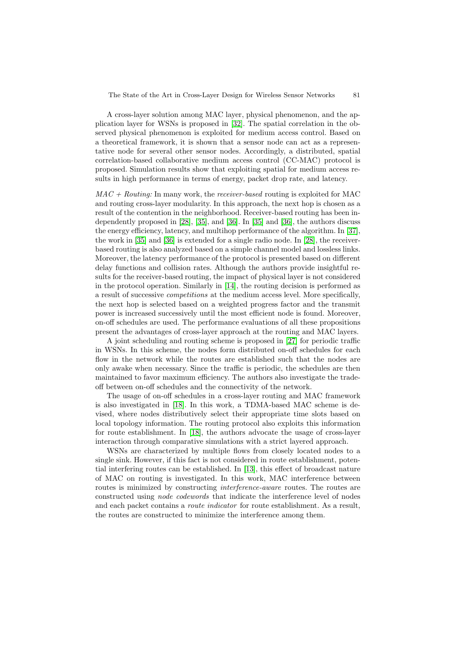A cross-layer solution among MAC layer, physical phenomenon, and the application layer for WSNs is proposed in [32]. The spatial correlation in the observed physical phenomenon is exploited for medium access control. Based on a theoretical framework, it is shown that a sensor node can act as a representative node for several other sensor nodes. Accordingly, a distributed, spatial correlation-based collaborative medium [acc](#page-14-3)ess control (CC-MAC) protocol is proposed. Simulation results show that exploiting spatial for medium access results in high performance in terms of energy, packet drop rate, and latency.

 $MAC + Routing$ : In many work, the *receiver-based* routing is exploited for MAC and routing cross-layer modularity. In this approach, the next hop is chosen as a result of the contention in the neighborhood. Receiver-based routing has been independently proposed in [28], [35], and [36]. In [35] and [36], the authors discuss the energy efficiency, latency, and multihop performance of the algorithm. In [37], the work in [35] and [36] is extended for a single radio node. In [28], the receiverbased routing is also analyzed based on a simple channel model and lossless links. Moreover, the latency per[form](#page-14-4)[anc](#page-14-5)e of th[e pr](#page-14-6)oto[col i](#page-14-5)s pre[sent](#page-14-6)ed based on different delay functions and collision rates. Although the authors provide insightfu[l re](#page-14-7)sults for the [rec](#page-14-5)eiver-[bas](#page-14-6)ed routing, the impact of physical layer [is n](#page-14-4)ot considered in the protocol operation. Similarly in [14], the routing decision is performed as a result of successive competitions at the medium access level. More specifically, the next hop is selected based on a weighted progress factor and the transmit power is increased successively until the most efficient node is found. Moreover, on-off schedules are used. The perform[anc](#page-13-4)e evaluations of all these propositions present the advantages of cross-layer approach at the routing and MAC layers.

A joint scheduling and routing scheme is proposed in [27] for periodic traffic in WSNs. In this scheme, the nodes form distributed on-off schedules for each flow in the network while the routes are established such that the nodes are only awake when necessary. Since the traffic is periodic, the schedules are then maintained to favor maximum efficiency. The authors als[o inv](#page-14-8)estigate the tradeoff between on-off schedules and the connectivity of the network.

The usage of on-off schedules in a cross-layer routing and MAC framework is also investigated in [18]. In this work, a TDMA-based MAC scheme is devised, where nodes distributively select their appropriate time slots based on local topology information. The routing protocol also exploits this information for route establishment. In [18], the authors advocate the usage of cross-layer interaction through co[mpa](#page-13-1)rative simulations with a strict layered approach.

WSNs are characterized by multiple flows from closely located nodes to a single sink. However, if this fact is not considered in route establishment, potential interfering routes can be [est](#page-13-1)ablished. In [13], this effect of broadcast nature of MAC on routing is investigated. In this work, MAC interference between routes is minimized by constructing *interference-aware* routes. The routes are constructed using node codewords that indicate the interference level of nodes and each packet contains a *route indicator* f[or r](#page-13-0)oute establishment. As a result, the routes are constructed to minimize the interference among them.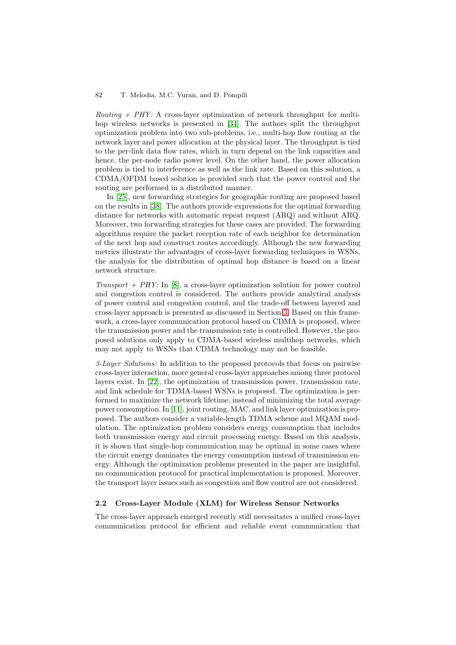Routing  $+$  PHY: A cross-layer optimization of network throughput for multihop wireless networks is presented in [34]. The authors split the throughput optimization problem into two sub-problems, i.e., multi-hop flow routing at the network layer and power allocation at the physical layer. The throughput is tied to the per-link data flow rates, which in turn depend on the link capacities and hence, the per-node radio power level. [On](#page-14-9) the other hand, the power allocation problem is tied to interference as well as the link rate. Based on this solution, a CDMA/OFDM based solution is provided such that the power control and the routing are performed in a distributed manner.

In [25], new forwarding strategies for geographic routing are proposed based on the results in [38]. The authors provide expressions for the optimal forwarding distance for networks with automatic repeat request (ARQ) and without ARQ. Moreover, two forwarding strategies for these cases are provided. The forwarding algorit[hm](#page-14-10)s require the packet reception rate of each neighbor for determination of the next hop [and](#page-14-1) construct routes accordingly. Although the new forwarding metrics illustrate the advantages of cross-layer forwarding techniques in WSNs, the analysis for the distribution of optimal hop distance is based on a linear network structure.

Transport  $+PHY$ : In [8], a cross-layer optimization solution for power control and congestion control is considered. The authors provide analytical analysis of power control and congestion control, and the trade-off between layered and cross-layer approach is presented as discussed in Section 3. Based on this framework, a cross-layer co[mm](#page-13-5)unication protocol based on CDMA is proposed, where the transmission power and the transmission rate is controlled. However, the proposed solutions only apply to CDMA-based wireless multihop networks, which may not apply to WSNs that CDMA technology may n[ot](#page-6-0) be feasible.

3-Layer Solutions: In addition to the proposed protocols that focus on pairwise cross-layer interaction, more general cross-layer approaches among three protocol layers exist. In [22], the optimization of transmission power, transmission rate, and link schedule for TDMA-based WSNs is proposed. The optimization is performed to maximize the network lifetime, instead of minimizing the total average power consumption. In [11], joint routing, MAC, and link layer optimization is proposed. The aut[hors](#page-13-6) consider a variable-length TDMA scheme and MQAM modulation. The optimization problem considers energy consumption that includes both transmission energy and circuit processing energy. Based on this analysis, it is shown that single-[hop](#page-13-7) communication may be optimal in some cases where the circuit energy dominates the energy consumption instead of transmission energy. Although the optimization problems presented in the paper are insightful, no communication protocol for practical implementation is proposed. Moreover, the transport layer issues such as congestion and flow control are not considered.

## **2.2 Cross-Layer Module (XLM) for Wireless Sensor Networks**

The cross-layer approach emerged recently still necessitates a unified cross-layer communication protocol for efficient and reliable event communication that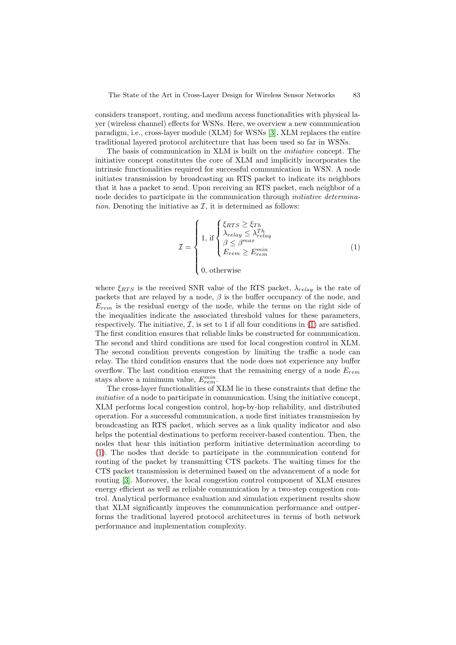considers transport, routing, and medium access functionalities with physical layer (wireless channel) effects for WSNs. Here, we overview a new communication paradigm, i.e., cross-layer module (XLM) for WSNs [3]. XLM replaces the entire traditional layered protocol architecture that has been used so far in WSNs.

The basis of communication in XLM is built on the initiative concept. The initiative concept constitutes the core of XLM and implicitly incorporates the intrinsic functionalities required for successful com[mun](#page-12-1)ication in WSN. A node initiates transmission by broadcasting an RTS packet to indicate its neighbors that it has a packet to send. Upon receiving an RTS packet, each neighbor of a node decides to participate in the communication through *initiative determina*tion. Denoting the initiative as  $\mathcal{I}$ , it is determined as follows:

$$
\mathcal{I} = \begin{cases}\n1, \text{ if } \begin{cases}\n\xi_{RTS} \geq \xi_{Th} \\
\lambda_{relay} \leq \lambda_{relay}^{Th} \\
\beta \leq \beta^{max} \\
E_{rem} \geq E_{rem}^{min}\n\end{cases} \\
0, \text{ otherwise}\n\end{cases} \tag{1}
$$

<span id="page-5-0"></span>where  $\xi_{RTS}$  is the received SNR value of the RTS packet,  $\lambda_{relay}$  is the rate of packets that are relayed by a node,  $\beta$  is the buffer occupancy of the node, and  $E_{rem}$  is the residual energy of the node, while the terms on the right side of the inequalities indicate the associated threshold values for these parameters, respectively. The initiative,  $\mathcal{I}$ , is set to 1 if all four conditions in (1) are satisfied. The first condition ensures that reliable links be constructed for communication. The second and third conditions are used for local congestion control in XLM. The second condition prevents congestion by limiting the traffic a node can relay. The third condition ensures that the node does not exper[ien](#page-5-0)ce any buffer overflow. The last condition ensures that the remaining energy of a node  $E_{rem}$ stays above a minimum value,  $E_{rem}^{min}$ .

The cross-layer functionalities of XLM lie in these constraints that define the initiative of a node to participate in communication. Using the initiative concept, XLM performs local congestion control, hop-by-hop reliability, and distributed operation. For a successful communication, a node first initiates transmission by broadcasting an RTS packet, which serves as a link quality indicator and also helps the potential destinations to perform receiver-based contention. Then, the nodes that hear this initiation perform initiative determination according to (1). The nodes that decide to participate in the communication contend for routing of the packet by transmitting CTS packets. The waiting times for the CTS packet transmission is determined based on the advancement of a node for routing [3]. Moreover, the local congestion control component of XLM ensures [en](#page-5-0)ergy efficient as well as reliable communication by a two-step congestion control. Analytical performance evaluation and simulation experiment results show that XLM significantly improves the communication performance and outperforms t[he](#page-12-1) traditional layered protocol architectures in terms of both network performance and implementation complexity.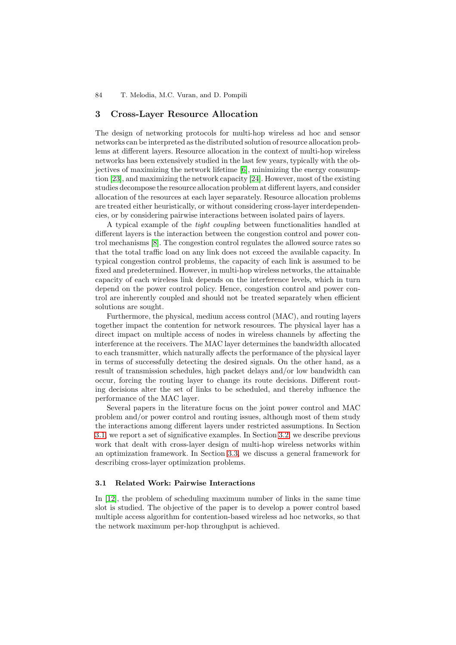## **3 Cross-Layer Resource Allocation**

<span id="page-6-0"></span>The design of networking protocols for multi-hop wireless ad hoc and sensor networks can be interpreted as the distributed solution of resource allocation problems at different layers. Resource allocation in the context of multi-hop wireless networks has been extensively studied in the last few years, typically with the objectives of maximizing the network lifetime [6], minimizing the energy consumption [23], and maximizing the network capacity [24]. However, most of the existing studies decompose the resource allocation problem at different layers, and consider allocation of the resources at each layer separately. Resource allocation problems are treated either heuristically, or without c[ons](#page-13-8)idering cross-layer interdependencies, [or](#page-14-11) by considering pairwise interactions be[twe](#page-14-12)en isolated pairs of layers.

A typical example of the tight coupling between functionalities handled at different layers is the interaction between the congestion control and power control mechanisms [8]. The congestion control regulates the allowed source rates so that the total traffic load on any link does not exceed the available capacity. In typical congestion control problems, the capacity of each link is assumed to be fixed and predetermined. However, in multi-hop wireless networks, the attainable capacity of each [wi](#page-13-5)reless link depends on the interference levels, which in turn depend on the power control policy. Hence, congestion control and power control are inherently coupled and should not be treated separately when efficient solutions are sought.

Furthermore, the physical, medium access control (MAC), and routing layers together impact the contention for network resources. The physical layer has a direct impact on multiple access of nodes in wireless channels by affecting the interference at the receivers. The MAC layer determines the bandwidth allocated to each transmitter, which naturally affects the performance of the physical layer in terms of successfully detecting the desired signals. On the other hand, as a result of transmission schedules, high packet delays and/or low bandwidth can occur, forcing the routing layer to change its route decisions. Different routing decisions alter the set of links to be scheduled, and thereby influence the performance of the MAC layer.

Several papers in the literature focus on the joint power control and MAC problem and/or power control and routing issues, although most of them study the interactions among different layers under restricted assumptions. In Section 3.1, we report a set of significative examples. In Section 3.2, we describe previous work that dealt with cross-layer design of multi-hop wireless networks within an optimization framework. In Section 3.3, we discuss a general framework for describing cross-layer optimization problems.

#### **3.1 Related Work: Pairwise Interactions**

In [12], the problem of scheduling maximum number of links in the same time slot is studied. The objective of the paper is to develop a power control based multiple access algorithm for contention-based wireless ad hoc networks, so that the network maximum per-hop throughput is achieved.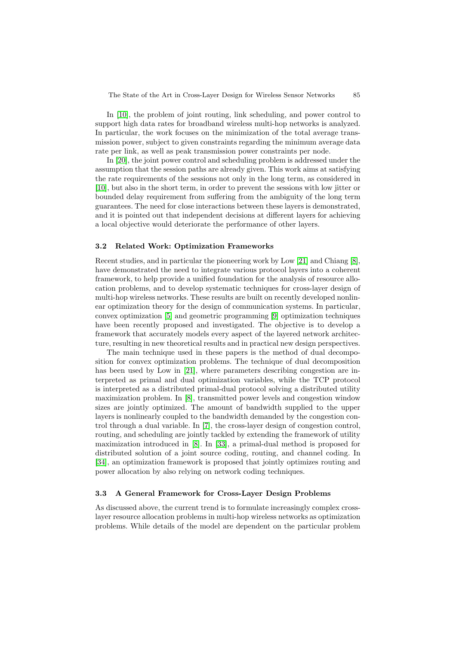In [10], the problem of joint routing, link scheduling, and power control to support high data rates for broadband wireless multi-hop networks is analyzed. In particular, the work focuses on the minimization of the total average transmission power, subject to given constraints regarding the minimum average data rate p[er li](#page-13-9)nk, as well as peak transmission power constraints per node.

In [20], the joint power control and scheduling problem is addressed under the assumption that the session paths are already given. This work aims at satisfying the rate requirements of the sessions not only in the long term, as considered in [10], but also in the short term, in order to prevent the sessions with low jitter or bound[ed](#page-13-10) delay requirement from suffering from the ambiguity of the long term guarantees. The need for close interactions between these layers is demonstrated, and it is pointed out that independent decisions at different layers for achieving [a lo](#page-13-9)cal objective would deteriorate the performance of other layers.

### **3.2 Related Work: Optimization Frameworks**

Recent studies, and in particular the pioneering work by Low [21] and Chiang [8], have demonstrated the need to integrate various protocol layers into a coherent framework, to help provide a unified foundation for the analysis of resource allocation problems, and to develop systematic techniques for cross-layer design of multi-hop wireless networks. These results are built on recentl[y de](#page-13-11)veloped nonl[in](#page-13-5)ear optimization theory for the design of communication systems. In particular, convex optimization [5] and geometric programming [9] optimization techniques have been recently proposed and investigated. The objective is to develop a framework that accurately models every aspect of the layered network architecture, resulting in new theoretical results and in practical new design perspectives.

The main techni[qu](#page-13-12)e used in these papers is the [m](#page-13-13)ethod of dual decomposition for convex optimization problems. The technique of dual decomposition has been used by Low in [21], where parameters describing congestion are interpreted as primal and dual optimization variables, while the TCP protocol is interpreted as a distributed primal-dual protocol solving a distributed utility maximization problem. In [8], transmitted power levels and congestion window sizes are jointly optimize[d. T](#page-13-11)he amount of bandwidth supplied to the upper layers is nonlinearly coupled to the bandwidth demanded by the congestion control through a dual variable. In [7], the cross-layer design of congestion control, routing, and scheduling are [jo](#page-13-5)intly tackled by extending the framework of utility maximization introduced in [8]. In [33], a primal-dual method is proposed for distributed solution of a joint source coding, routing, and channel coding. In [34], an optimization framework [is](#page-13-14) proposed that jointly optimizes routing and power allocation by also relying on network coding techniques.

## **[3.3](#page-14-9) A General Framework for Cross-Layer Design Problems**

As discussed above, the current trend is to formulate increasingly complex crosslayer resource allocation problems in multi-hop wireless networks as optimization problems. While details of the model are dependent on the particular problem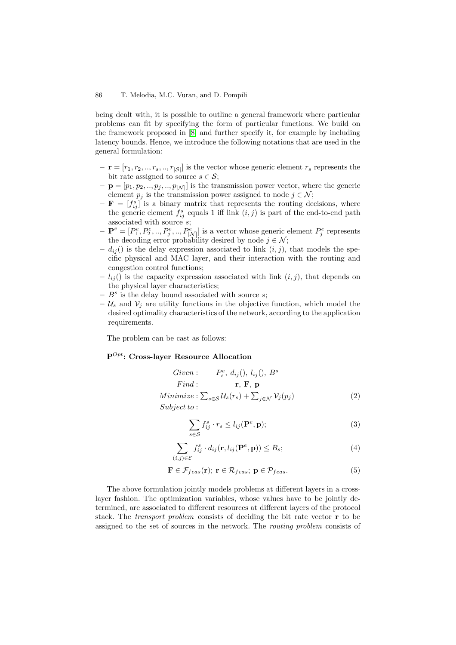being dealt with, it is possible to outline a general framework where particular problems can fit by specifying the form of particular functions. We build on the framework proposed in [8] and further specify it, for example by including latency bounds. Hence, we introduce the following notations that are used in the general formulation:

- $\mathbf{r} = [\mathbf{r}_1, \mathbf{r}_2, ..., \mathbf{r}_s, ..., \mathbf{r}_{|\mathcal{S}|}]$  i[s t](#page-13-5)he vector whose generic element  $\mathbf{r}_s$  represents the bit rate assigned to source  $s \in \mathcal{S}$ ;
- $\mathbf{p} = [\mathbf{p}_1, \mathbf{p}_2, ..., \mathbf{p}_j, ..., \mathbf{p}_{|\mathcal{N}|}]$  is the transmission power vector, where the generic element  $p_j$  is the transmission power assigned to node  $j \in \mathcal{N}$ ;
- $-$  **F** =  $[f_{ij}^s]$  is a binary matrix that represents the routing decisions, where the generic element  $f_{ij}^s$  equals 1 iff link  $(i, j)$  is part of the end-to-end path associated with source s;
- $\mathbf{P}^e = [P_1^e, P_2^e, ..., P_j^e, ..., P_{|\mathcal{N}|}^e]$  is a vector whose generic element  $P_j^e$  represents the decoding error probability desired by node  $j \in \mathcal{N}$ ;
- $d_{ij}$ ) is the delay expression associated to link  $(i, j)$ , that models the specific physical and MAC layer, and their interaction with the routing and congestion control functions;
- $l_{ij}$ ) is the capacity expression associated with link  $(i, j)$ , that depends on the physical layer characteristics;
- $B<sup>s</sup>$  is the delay bound associated with source s;
- $-\mathcal{U}_s$  and  $\mathcal{V}_i$  are utility functions in the objective function, which model the desired optimality characteristics of the network, according to the application requirements.

The problem can be cast as follows:

## **P**Opt**: Cross-layer Resource Allocation**

$$
Given: \tP_s^e, d_{ij}(), l_{ij}(), B^s\tFind: \t\mathbf{r}, \mathbf{F}, \mathbf{p}\tMinimize: \sum_{s \in S} \mathcal{U}_s(r_s) + \sum_{j \in \mathcal{N}} \mathcal{V}_j(p_j)
$$
\t(2)

<span id="page-8-0"></span>Subject to :

$$
\sum_{s \in \mathcal{S}} f_{ij}^s \cdot r_s \le l_{ij}(\mathbf{P}^e, \mathbf{p});\tag{3}
$$

$$
\sum_{(i,j)\in\mathcal{E}} f_{ij}^s \cdot d_{ij}(\mathbf{r}, l_{ij}(\mathbf{P}^e, \mathbf{p})) \leq B_s; \tag{4}
$$

<span id="page-8-1"></span>
$$
\mathbf{F} \in \mathcal{F}_{feas}(\mathbf{r}); \ \mathbf{r} \in \mathcal{R}_{feas}; \ \mathbf{p} \in \mathcal{P}_{feas}.\tag{5}
$$

<span id="page-8-3"></span><span id="page-8-2"></span>The above formulation jointly models problems at different layers in a crosslayer fashion. The optimization variables, whose values have to be jointly determined, are associated to different resources at different layers of the protocol stack. The transport problem consists of deciding the bit rate vector **r** to be assigned to the set of sources in the network. The routing problem consists of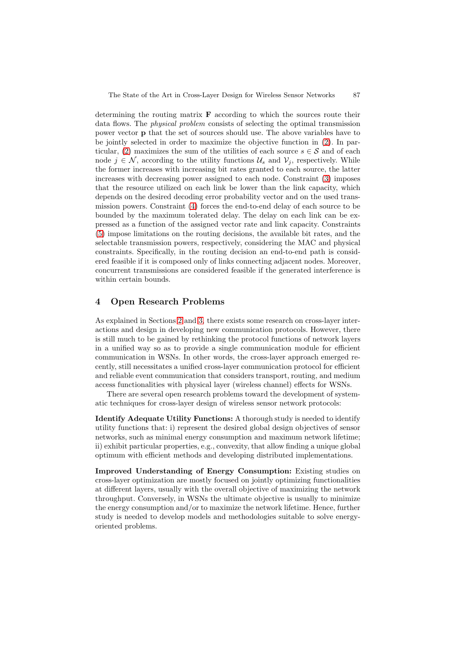determining the routing matrix **F** according to which the sources route their data flows. The physical problem consists of selecting the optimal transmission power vector **p** that the set of sources should use. The above variables have to be jointly selected in order to maximize the objective function in (2). In particular, (2) maximizes the sum of the utilities of each source  $s \in \mathcal{S}$  and of each node  $j \in \mathcal{N}$ , according to the utility functions  $\mathcal{U}_s$  and  $\mathcal{V}_j$ , respectively. While the former increases with increasing bit rates granted to each source, the latter increases with decreasing power assigned to each node. Constraint [\(3\)](#page-8-0) imposes that the [re](#page-8-0)source utilized on each link be lower than the link capacity, which depends on the desired decoding error probability vector and on the used transmission powers. Constraint (4) forces the end-to-end delay of each source to be bounded by the maximum tolerated delay. The delay on each link [ca](#page-8-1)n be expressed as a function of the assigned vector rate and link capacity. Constraints (5) impose limitations on the routing decisions, the available bit rates, and the selectable transmission pow[ers](#page-8-2), respectively, considering the MAC and physical constraints. Specifically, in the routing decision an end-to-end path is considered feasible if it is composed only of links connecting adjacent nodes. Moreover, [con](#page-8-3)current transmissions are considered feasible if the generated interference is within certain bounds.

# **4 Open Research Problems**

<span id="page-9-0"></span>As explained in Sections 2 and 3, there exists some research on cross-layer interactions and design in developing new communication protocols. However, there is still much to be gained by rethinking the protocol functions of network layers in a unified way so as to provide a single communication module for efficient communication in WSN[s.](#page-1-0) In o[th](#page-6-0)er words, the cross-layer approach emerged recently, still necessitates a unified cross-layer communication protocol for efficient and reliable event communication that considers transport, routing, and medium access functionalities with physical layer (wireless channel) effects for WSNs.

There are several open research problems toward the development of systematic techniques for cross-layer design of wireless sensor network protocols:

**Identify Adequate Utility Functions:** A thorough study is needed to identify utility functions that: i) represent the desired global design objectives of sensor networks, such as minimal energy consumption and maximum network lifetime; ii) exhibit particular properties, e.g., convexity, that allow finding a unique global optimum with efficient methods and developing distributed implementations.

**Improved Understanding of Energy Consumption:** Existing studies on cross-layer optimization are mostly focused on jointly optimizing functionalities at different layers, usually with the overall objective of maximizing the network throughput. Conversely, in WSNs the ultimate objective is usually to minimize the energy consumption and/or to maximize the network lifetime. Hence, further study is needed to develop models and methodologies suitable to solve energyoriented problems.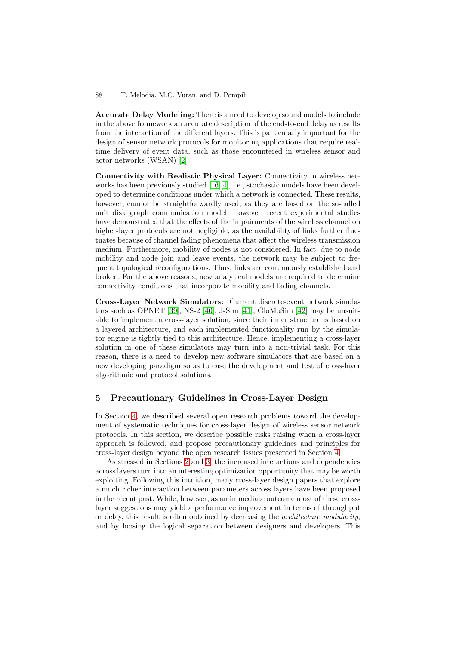**Accurate Delay Modeling:** There is a need to develop sound models to include in the above framework an accurate description of the end-to-end delay as results from the interaction of the different layers. This is particularly important for the design of sensor network protocols for monitoring applications that require realtime delivery of event data, such as those encountered in wireless sensor and actor networks (WSAN) [2].

**Connectivity with Realistic Physical Layer:** Connectivity in wireless networks has been previously studied [16][4], i.e., stochastic models have been developed to determine condit[ion](#page-12-2)s under which a network is connected. These results, however, cannot be straightforwardly used, as they are based on the so-called unit disk graph communication model. However, recent experimental studies have demonstrated that the effects [of](#page-13-15) [the](#page-13-16) impairments of the wireless channel on higher-layer protocols are not negligible, as the availability of links further fluctuates because of channel fading phenomena that affect the wireless transmission medium. Furthermore, mobility of nodes is not considered. In fact, due to node mobility and node join and leave events, the network may be subject to frequent topological reconfigurations. Thus, links are continuously established and broken. For the above reasons, new analytical models are required to determine connectivity conditions that incorporate mobility and fading channels.

**Cross-Layer Network Simulators:** Current discrete-event network simulators such as OPNET [39], NS-2 [40], J-Sim [41], GloMoSim [42] may be unsuitable to implement a cross-layer solution, since their inner structure is based on a layered architecture, and each implemented functionality run by the simulator engine is tightly tied to this architecture. Hence, implementing a cross-layer solution in one of th[ese](#page-14-13) simula[tors](#page-14-14) may tu[rn](#page-14-15) into a non-tr[ivia](#page-14-16)l task. For this reason, there is a need to develop new software simulators that are based on a new developing paradigm so as to ease the development and test of cross-layer algorithmic and protocol solutions.

# **5 Precautionary Guidelines in Cross-Layer Design**

In Section 4, we described several open research problems toward the development of systematic techniques for cross-layer design of wireless sensor network protocols. In this section, we describe possible risks raising when a cross-layer approach is followed, and propose precautionary guidelines and principles for cross-layer [d](#page-9-0)esign beyond the open research issues presented in Section 4.

As stressed in Sections 2 and 3, the increased interactions and dependencies across layers turn into an interesting optimization opportunity that may be worth exploiting. Following this intuition, many cross-layer design papers that explore a much richer interaction between parameters across layers have been [pro](#page-9-0)posed in the recent past. While, [how](#page-1-0)eve[r,](#page-6-0) as an immediate outcome most of these crosslayer suggestions may yield a performance improvement in terms of throughput or delay, this result is often obtained by decreasing the architecture modularity, and by loosing the logical separation between designers and developers. This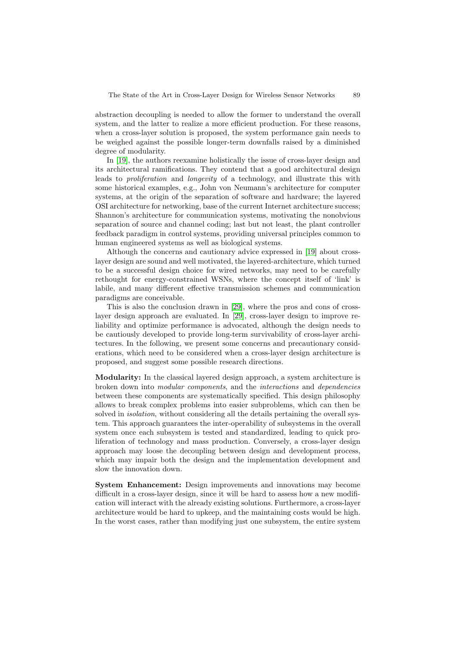abstraction decoupling is needed to allow the former to understand the overall system, and the latter to realize a more efficient production. For these reasons, when a cross-layer solution is proposed, the system performance gain needs to be weighed against the possible longer-term downfalls raised by a diminished degree of modularity.

In [19], the authors reexamine holistically the issue of cross-layer design and its architectural ramifications. They contend that a good architectural design leads to proliferation and longevity of a technology, and illustrate this with some historical examples, e.g., John von Neumann's architecture for computer syste[ms, a](#page-13-17)t the origin of the separation of software and hardware; the layered OSI architecture for networking, base of the current Internet architecture success; Shannon's architecture for communication systems, motivating the nonobvious separation of source and channel coding; last but not least, the plant controller feedback paradigm in control systems, providing universal principles common to human engineered systems as well as biological systems.

Although the concerns and cautionary advice expressed in [19] about crosslayer design are sound and well motivated, the layered-architecture, which turned to be a successful design choice for wired networks, may need to be carefully rethought for energy-constrained WSNs, where the concept itself of 'link' is labile, and many different effective transmission schemes and [co](#page-13-17)mmunication paradigms are conceivable.

This is also the conclusion drawn in [29], where the pros and cons of crosslayer design approach are evaluated. In [29], cross-layer design to improve reliability and optimize performance is advocated, although the design needs to be cautiously developed to provide long-term survivability of cross-layer architectures. In the following, we present so[me](#page-14-17) concerns and precautionary considerations, which need to be considered w[hen](#page-14-17) a cross-layer design architecture is proposed, and suggest some possible research directions.

**Modularity:** In the classical layered design approach, a system architecture is broken down into modular components, and the interactions and dependencies between these components are systematically specified. This design philosophy allows to break complex problems into easier subproblems, which can then be solved in *isolation*, without considering all the details pertaining the overall system. This approach guarantees the inter-operability of subsystems in the overall system once each subsystem is tested and standardized, leading to quick proliferation of technology and mass production. Conversely, a cross-layer design approach may loose the decoupling between design and development process, which may impair both the design and the implementation development and slow the innovation down.

**System Enhancement:** Design improvements and innovations may become difficult in a cross-layer design, since it will be hard to assess how a new modification will interact with the already existing solutions. Furthermore, a cross-layer architecture would be hard to upkeep, and the maintaining costs would be high. In the worst cases, rather than modifying just one subsystem, the entire system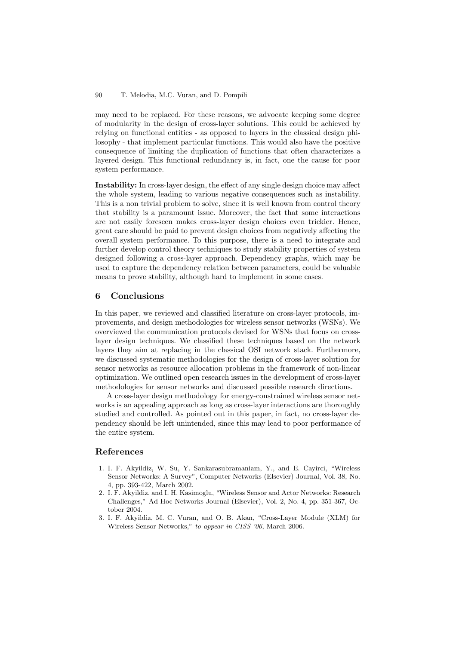may need to be replaced. For these reasons, we advocate keeping some degree of modularity in the design of cross-layer solutions. This could be achieved by relying on functional entities - as opposed to layers in the classical design philosophy - that implement particular functions. This would also have the positive consequence of limiting the duplication of functions that often characterizes a layered design. This functional redundancy is, in fact, one the cause for poor system performance.

**Instability:** In cross-layer design, the effect of any single design choice may affect the whole system, leading to various negative consequences such as instability. This is a non trivial problem to solve, since it is well known from control theory that stability is a paramount issue. Moreover, the fact that some interactions are not easily foreseen makes cross-layer design choices even trickier. Hence, great care should be paid to prevent design choices from negatively affecting the overall system performance. To this purpose, there is a need to integrate and further develop control theory techniques to study stability properties of system designed following a cross-layer approach. Dependency graphs, which may be used to capture the dependency relation between parameters, could be valuable means to prove stability, although hard to implement in some cases.

## **6 Conclusions**

In this paper, we reviewed and classified literature on cross-layer protocols, improvements, and design methodologies for wireless sensor networks (WSNs). We overviewed the communication protocols devised for WSNs that focus on crosslayer design techniques. We classified these techniques based on the network layers they aim at replacing in the classical OSI network stack. Furthermore, we discussed systematic methodologies for the design of cross-layer solution for sensor networks as resource allocation problems in the framework of non-linear optimization. We outlined open research issues in the development of cross-layer methodologies for sensor networks and discussed possible research directions.

A cross-layer design methodology for energy-constrained wireless sensor networks is an appealing approach as long as cross-layer interactions are thoroughly studied and controlled. As pointed out in this paper, in fact, no cross-layer dependency should be left unintended, since this may lead to poor performance of the entire system.

## <span id="page-12-0"></span>**References**

- 1. I. F. Akyildiz, W. Su, Y. Sankarasubramaniam, Y., and E. Cayirci, "Wireless Sensor Networks: A Survey", Computer Networks (Elsevier) Journal, Vol. 38, No. 4, pp. 393-422, March 2002.
- <span id="page-12-2"></span>2. I. F. Akyildiz, and I. H. Kasimoglu, "Wireless Sensor and Actor Networks: Research Challenges," Ad Hoc Networks Journal (Elsevier), Vol. 2, No. 4, pp. 351-367, October 2004.
- <span id="page-12-1"></span>3. I. F. Akyildiz, M. C. Vuran, and O. B. Akan, "Cross-Layer Module (XLM) for Wireless Sensor Networks," to appear in CISS '06, March 2006.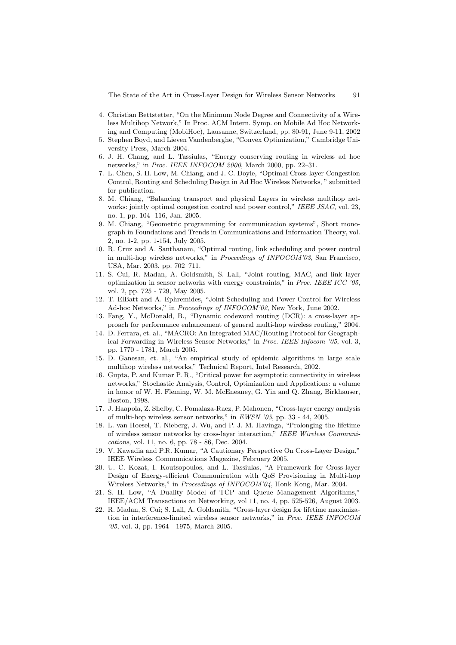The State of the Art in Cross-Layer Design for Wireless Sensor Networks 91

- <span id="page-13-16"></span>4. Christian Bettstetter, "On the Minimum Node Degree and Connectivity of a Wireless Multihop Network," In Proc. ACM Intern. Symp. on Mobile Ad Hoc Networking and Computing (MobiHoc), Lausanne, Switzerland, pp. 80-91, June 9-11, 2002
- <span id="page-13-12"></span>5. Stephen Boyd, and Lieven Vandenberghe, "Convex Optimization," Cambridge University Press, March 2004.
- <span id="page-13-8"></span>6. J. H. Chang, and L. Tassiulas, "Energy conserving routing in wireless ad hoc networks," in Proc. IEEE INFOCOM 2000, March 2000, pp. 22–31.
- <span id="page-13-14"></span>7. L. Chen, S. H. Low, M. Chiang, and J. C. Doyle, "Optimal Cross-layer Congestion Control, Routing and Scheduling Design in Ad Hoc Wireless Networks, " submitted for publication.
- <span id="page-13-5"></span>8. M. Chiang, "Balancing transport and physical Layers in wireless multihop networks: jointly optimal congestion control and power control," IEEE JSAC, vol. 23, no. 1, pp. 104 116, Jan. 2005.
- <span id="page-13-13"></span>9. M. Chiang, "Geometric programming for communication systems", Short monograph in Foundations and Trends in Communications and Information Theory, vol. 2, no. 1-2, pp. 1-154, July 2005.
- <span id="page-13-9"></span>10. R. Cruz and A. Santhanam, "Optimal routing, link scheduling and power control in multi-hop wireless networks," in Proceedings of INFOCOM'03, San Francisco, USA, Mar. 2003, pp. 702–711.
- <span id="page-13-7"></span>11. S. Cui, R. Madan, A. Goldsmith, S. Lall, "Joint routing, MAC, and link layer optimization in sensor networks with energy constraints," in Proc. IEEE ICC '05, vol. 2, pp. 725 - 729, May 2005.
- 12. T. ElBatt and A. Ephremides, "Joint Scheduling and Power Control for Wireless Ad-hoc Networks," in Proceedings of INFOCOM'02, New York, June 2002.
- <span id="page-13-0"></span>13. Fang, Y., McDonald, B., "Dynamic codeword routing (DCR): a cross-layer approach for performance enhancement of general multi-hop wireless routing," 2004.
- <span id="page-13-4"></span>14. D. Ferrara, et. al., "MACRO: An Integrated MAC/Routing Protocol for Geographical Forwarding in Wireless Sensor Networks," in Proc. IEEE Infocom '05, vol. 3, pp. 1770 - 1781, March 2005.
- <span id="page-13-2"></span>15. D. Ganesan, et. al., "An empirical study of epidemic algorithms in large scale multihop wireless networks," Technical Report, Intel Research, 2002.
- <span id="page-13-15"></span>16. Gupta, P. and Kumar P. R., "Critical power for asymptotic connectivity in wireless networks," Stochastic Analysis, Control, Optimization and Applications: a volume in honor of W. H. Fleming, W. M. McEneaney, G. Yin and Q. Zhang, Birkhauser, Boston, 1998.
- <span id="page-13-3"></span>17. J. Haapola, Z. Shelby, C. Pomalaza-Raez, P. Mahonen, "Cross-layer energy analysis of multi-hop wireless sensor networks," in  $EWSN$  '05, pp. 33 - 44, 2005.
- <span id="page-13-1"></span>18. L. van Hoesel, T. Nieberg, J. Wu, and P. J. M. Havinga, "Prolonging the lifetime of wireless sensor networks by cross-layer interaction," IEEE Wireless Communications, vol. 11, no. 6, pp. 78 - 86, Dec. 2004.
- <span id="page-13-17"></span>19. V. Kawadia and P.R. Kumar, "A Cautionary Perspective On Cross-Layer Design," IEEE Wireless Communications Magazine, February 2005.
- <span id="page-13-10"></span>20. U. C. Kozat, I. Koutsopoulos, and L. Tassiulas, "A Framework for Cross-layer Design of Energy-efficient Communication with QoS Provisioning in Multi-hop Wireless Networks," in Proceedings of INFOCOM'04, Honk Kong, Mar. 2004.
- <span id="page-13-11"></span>21. S. H. Low, "A Duality Model of TCP and Queue Management Algorithms," IEEE/ACM Transactions on Networking, vol 11, no. 4, pp. 525-526, August 2003.
- <span id="page-13-6"></span>22. R. Madan, S. Cui; S. Lall, A. Goldsmith, "Cross-layer design for lifetime maximization in interference-limited wireless sensor networks," in Proc. IEEE INFOCOM '05, vol. 3, pp. 1964 - 1975, March 2005.